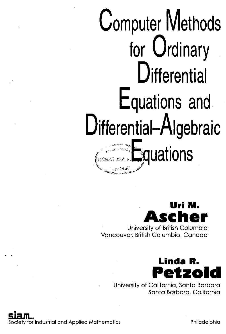## **Computer Methods for Ordinary Differential Equations and Differential-Algebraic** V **E**quations

## **Uri M. Ascher** University of British Columbia Vancouver, British Columbia, Canada



University of California, Santa Barbara Santa Barbara, California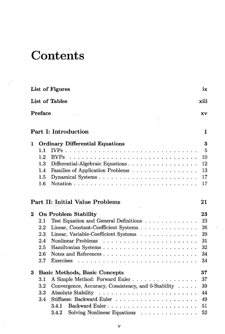## **Contents**

|                               |                                            | List of Figures                                     | ix             |  |  |  |  |  |  |  |
|-------------------------------|--------------------------------------------|-----------------------------------------------------|----------------|--|--|--|--|--|--|--|
| <b>List of Tables</b><br>xiii |                                            |                                                     |                |  |  |  |  |  |  |  |
|                               | Preface<br>XV                              |                                                     |                |  |  |  |  |  |  |  |
|                               |                                            | Part I: Introduction                                | 1              |  |  |  |  |  |  |  |
| 1                             | <b>Ordinary Differential Equations</b>     |                                                     |                |  |  |  |  |  |  |  |
|                               | 1.1                                        |                                                     | $\overline{5}$ |  |  |  |  |  |  |  |
|                               | 1.2                                        | $\rm BVPs$                                          | 10             |  |  |  |  |  |  |  |
|                               | 1.3                                        | Differential-Algebraic Equations                    | 12             |  |  |  |  |  |  |  |
|                               | 1.4                                        | Families of Application Problems                    | 13             |  |  |  |  |  |  |  |
|                               | 1.5                                        |                                                     | 17             |  |  |  |  |  |  |  |
|                               | 1.6                                        |                                                     | 17             |  |  |  |  |  |  |  |
|                               |                                            | <b>Part II: Initial Value Problems</b>              | 21             |  |  |  |  |  |  |  |
| $\overline{2}$                |                                            | <b>On Problem Stability</b>                         | 23             |  |  |  |  |  |  |  |
|                               | 2.1                                        | Test Equation and General Definitions               | 23             |  |  |  |  |  |  |  |
|                               | 2.2                                        | Linear, Constant-Coefficient Systems                | 26             |  |  |  |  |  |  |  |
|                               | 2.3                                        | Linear, Variable-Coefficient Systems                | 29             |  |  |  |  |  |  |  |
|                               | 2.4                                        |                                                     | 31             |  |  |  |  |  |  |  |
|                               | 2.5                                        |                                                     | 32             |  |  |  |  |  |  |  |
|                               | 2.6                                        |                                                     | 34             |  |  |  |  |  |  |  |
|                               | 2.7                                        | <b>Exercises</b>                                    | 34             |  |  |  |  |  |  |  |
| $\bf{3}$                      | 37<br><b>Basic Methods, Basic Concepts</b> |                                                     |                |  |  |  |  |  |  |  |
|                               | 3.1                                        | A Simple Method: Forward Euler                      | 37             |  |  |  |  |  |  |  |
|                               | 3.2                                        | Convergence, Accuracy, Consistency, and 0-Stability | 39             |  |  |  |  |  |  |  |
|                               | 3.3                                        |                                                     | 44             |  |  |  |  |  |  |  |
|                               | 3.4                                        |                                                     | 49             |  |  |  |  |  |  |  |
|                               |                                            | 3.4.1<br>Backward Euler                             | 51             |  |  |  |  |  |  |  |
|                               |                                            | Solving Nonlinear Equations<br>3.4.2                | 52             |  |  |  |  |  |  |  |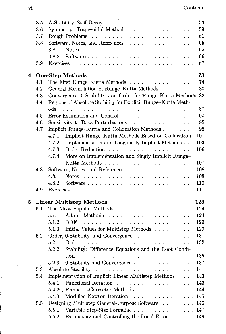$\bar{z}$ 

|   | 3.5 | 56                                                                                         |  |  |  |  |  |
|---|-----|--------------------------------------------------------------------------------------------|--|--|--|--|--|
|   | 3.6 | 59<br>Symmetry: Trapezoidal Method                                                         |  |  |  |  |  |
|   | 3.7 | 61                                                                                         |  |  |  |  |  |
|   | 3.8 | 65<br>Software, Notes, and References                                                      |  |  |  |  |  |
|   |     | 65<br>3.8.1                                                                                |  |  |  |  |  |
|   |     | 66<br>3.8.2                                                                                |  |  |  |  |  |
|   | 3.9 | 67                                                                                         |  |  |  |  |  |
| 4 |     | 73<br><b>One-Step Methods</b>                                                              |  |  |  |  |  |
|   | 4.1 | 74<br>The First Runge-Kutta Methods                                                        |  |  |  |  |  |
|   | 4.2 | General Formulation of Runge-Kutta Methods<br>80                                           |  |  |  |  |  |
|   | 4.3 | Convergence, 0-Stability, and Order for Runge-Kutta Methods 82                             |  |  |  |  |  |
|   | 4.4 | Regions of Absolute Stability for Explicit Runge-Kutta Meth-                               |  |  |  |  |  |
|   |     | 87                                                                                         |  |  |  |  |  |
|   | 4.5 | 90<br>Error Estimation and Control                                                         |  |  |  |  |  |
|   | 4.6 | 95<br>Sensitivity to Data Perturbations                                                    |  |  |  |  |  |
|   | 4.7 | 98<br>Implicit Runge-Kutta and Collocation Methods                                         |  |  |  |  |  |
|   |     | 101<br>Implicit Runge-Kutta Methods Based on Collocation<br>4.7.1                          |  |  |  |  |  |
|   |     | Implementation and Diagonally Implicit Methods<br>4.7.2<br>103                             |  |  |  |  |  |
|   |     | 4.7.3                                                                                      |  |  |  |  |  |
|   |     | More on Implementation and Singly Implicit Runge-<br>4.7.4                                 |  |  |  |  |  |
|   |     | Kutta Methods $\ldots \ldots \ldots \ldots \ldots \ldots \ldots \ldots 107$                |  |  |  |  |  |
|   | 4.8 | Software, Notes, and References 108                                                        |  |  |  |  |  |
|   |     | Notes $\ldots \ldots \ldots \ldots \ldots \ldots \ldots \ldots \ldots \ldots 108$<br>4.8.1 |  |  |  |  |  |
|   |     | 4.8.2                                                                                      |  |  |  |  |  |
|   | 4.9 |                                                                                            |  |  |  |  |  |
| 5 |     | <b>Linear Multistep Methods</b><br>123                                                     |  |  |  |  |  |
|   | 5.1 | The Most Popular Methods 124                                                               |  |  |  |  |  |
|   |     | 5.1.1                                                                                      |  |  |  |  |  |
|   |     | 5.1.2                                                                                      |  |  |  |  |  |
|   |     | Initial Values for Multistep Methods 129<br>5.1.3                                          |  |  |  |  |  |
|   | 5.2 | Order, 0-Stability, and Convergence $\ldots \ldots \ldots \ldots \ldots$ 131               |  |  |  |  |  |
|   |     | 5.2.1                                                                                      |  |  |  |  |  |
|   |     | Stability: Difference Equations and the Root Condi-<br>5.2.2                               |  |  |  |  |  |
|   |     | tion<br>135                                                                                |  |  |  |  |  |
|   |     | 0-Stability and Convergence 137<br>5.2.3                                                   |  |  |  |  |  |
|   | 5.3 | 141                                                                                        |  |  |  |  |  |
|   | 5.4 | Implementation of Implicit Linear Multistep Methods 143                                    |  |  |  |  |  |
|   |     | Functional Iteration 143<br>5.4.1                                                          |  |  |  |  |  |
|   |     | Predictor-Corrector Methods 144<br>5.4.2                                                   |  |  |  |  |  |
|   |     | Modified Newton Iteration<br>5.4.3<br>. 145                                                |  |  |  |  |  |
|   | 5.5 | Designing Multistep General-Purpose Software 146                                           |  |  |  |  |  |
|   |     | Variable Step-Size Formulae 147<br>5.5.1                                                   |  |  |  |  |  |
|   |     | Estimating and Controlling the Local Error 149<br>5.5.2                                    |  |  |  |  |  |

l,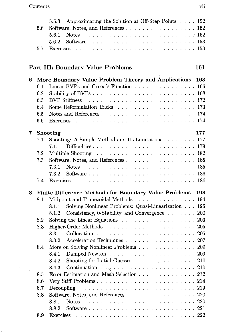$\ddot{\phantom{0}}$ 

| 5.5.3 Approximating the Solution at Off-Step Points 152 |
|---------------------------------------------------------|
| 5.6 Software, Notes, and References 152                 |
|                                                         |
|                                                         |
|                                                         |

## Part III: Boundary Value Problems 161

| 6 |                                                              | More Boundary Value Problem Theory and Applications                                                 | 163  |  |  |  |  |  |  |
|---|--------------------------------------------------------------|-----------------------------------------------------------------------------------------------------|------|--|--|--|--|--|--|
|   | 6.1                                                          | Linear BVPs and Green's Function 166                                                                |      |  |  |  |  |  |  |
|   | 6.2                                                          |                                                                                                     |      |  |  |  |  |  |  |
|   | 6.3                                                          |                                                                                                     |      |  |  |  |  |  |  |
|   | 6.4                                                          |                                                                                                     |      |  |  |  |  |  |  |
|   | 6.5                                                          |                                                                                                     |      |  |  |  |  |  |  |
|   | 6.6                                                          | <b>Exercises</b>                                                                                    |      |  |  |  |  |  |  |
| 7 |                                                              | 177<br>Shooting                                                                                     |      |  |  |  |  |  |  |
|   | 7.1                                                          | Shooting: A Simple Method and Its Limitations 177                                                   |      |  |  |  |  |  |  |
|   |                                                              | 7.1.1                                                                                               |      |  |  |  |  |  |  |
|   | 7.2                                                          | Multiple Shooting $\ldots \ldots \ldots \ldots \ldots \ldots \ldots \ldots 182$                     |      |  |  |  |  |  |  |
|   | 7.3                                                          | Software, Notes, and References 185                                                                 |      |  |  |  |  |  |  |
|   |                                                              | 7.3.1                                                                                               |      |  |  |  |  |  |  |
|   |                                                              | 7.3.2                                                                                               |      |  |  |  |  |  |  |
|   | 7.4                                                          | <b>Exercises</b>                                                                                    |      |  |  |  |  |  |  |
| 8 | Finite Difference Methods for Boundary Value Problems<br>193 |                                                                                                     |      |  |  |  |  |  |  |
|   | 8.1                                                          | Midpoint and Trapezoidal Methods 194                                                                |      |  |  |  |  |  |  |
|   |                                                              | Solving Nonlinear Problems: Quasi-Linearization 196<br>8.1.1                                        |      |  |  |  |  |  |  |
|   |                                                              | Consistency, 0-Stability, and Convergence 200<br>8.1.2                                              |      |  |  |  |  |  |  |
|   | 8.2                                                          | Solving the Linear Equations $\ldots \ldots \ldots \ldots \ldots \ldots 203$                        |      |  |  |  |  |  |  |
|   | 8.3                                                          |                                                                                                     |      |  |  |  |  |  |  |
|   |                                                              | 8.3.1                                                                                               |      |  |  |  |  |  |  |
|   |                                                              | Acceleration Techniques 207<br>8.3.2                                                                |      |  |  |  |  |  |  |
|   | 8.4                                                          | More on Solving Nonlinear Problems 209                                                              |      |  |  |  |  |  |  |
|   |                                                              | 8.4.1                                                                                               |      |  |  |  |  |  |  |
|   |                                                              | Shooting for Initial Guesses 210<br>8.4.2                                                           |      |  |  |  |  |  |  |
|   |                                                              | 8.4.3                                                                                               |      |  |  |  |  |  |  |
|   | 8.5                                                          | Error Estimation and Mesh Selection 212                                                             |      |  |  |  |  |  |  |
|   | 8.6                                                          |                                                                                                     |      |  |  |  |  |  |  |
|   | 8.7                                                          |                                                                                                     |      |  |  |  |  |  |  |
|   | 8.8                                                          | Software, Notes, and References 220                                                                 |      |  |  |  |  |  |  |
|   |                                                              | 8.8.1                                                                                               |      |  |  |  |  |  |  |
|   |                                                              | 8.8.2                                                                                               |      |  |  |  |  |  |  |
|   | 8.9                                                          | Exercises<br>والمتعاونة والمتواطئ والمتعاونة والمتعاونة والمتعاونة والمتعاونة والمتعاونة والمتعاونة | -222 |  |  |  |  |  |  |